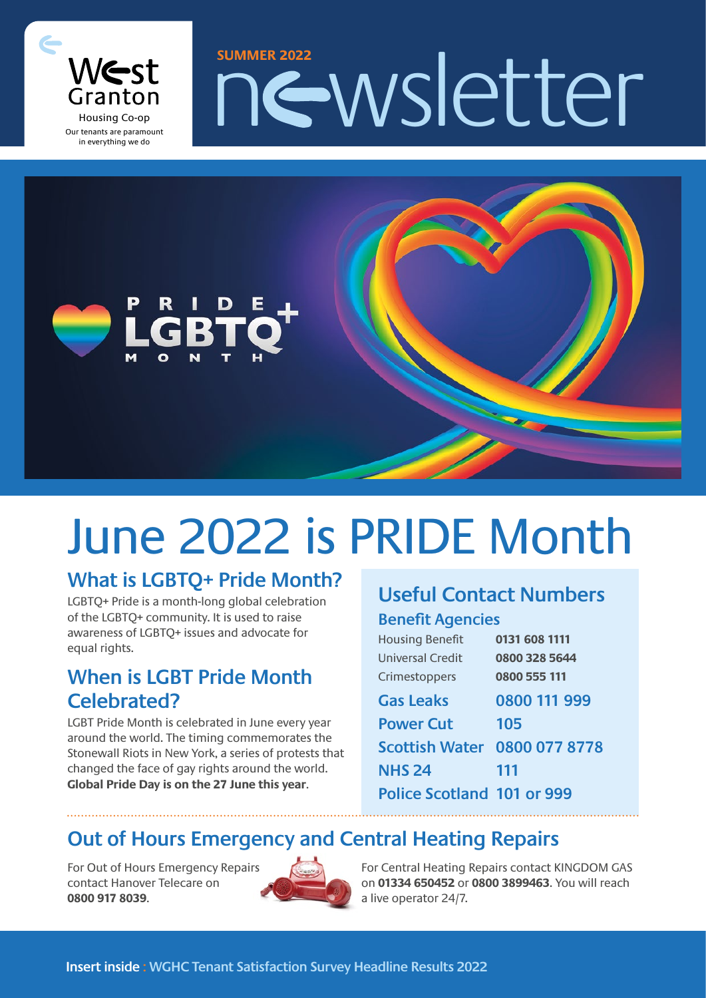

in everything we do

# Nest<br>Granton<br>Housing Co-op namount<br>In everything veedo



# June 2022 is PRIDE Month

## **What is LGBTQ+ Pride Month?**

LGBTQ+ Pride is a month-long global celebration of the LGBTQ+ community. It is used to raise awareness of LGBTQ+ issues and advocate for equal rights.

# **When is LGBT Pride Month Celebrated?**

LGBT Pride Month is celebrated in June every year around the world. The timing commemorates the Stonewall Riots in New York, a series of protests that changed the face of gay rights around the world. **Global Pride Day is on the 27 June this year**.

### **Useful Contact Numbers Benefit Agencies**

| <b>Housing Benefit</b>              | 0131 608 1111 |
|-------------------------------------|---------------|
| Universal Credit                    | 0800 328 5644 |
| Crimestoppers                       | 0800 555 111  |
| <b>Gas Leaks</b>                    | 0800 111 999  |
| <b>Power Cut</b>                    | 105           |
| <b>Scottish Water 0800 077 8778</b> |               |
| <b>NHS 24</b>                       | 111           |
| <b>Police Scotland 101 or 999</b>   |               |

# **Out of Hours Emergency and Central Heating Repairs**

For Out of Hours Emergency Repairs contact Hanover Telecare on **0800 917 8039**.



For Central Heating Repairs contact KINGDOM GAS on **01334 650452** or **0800 3899463**. You will reach a live operator 24/7.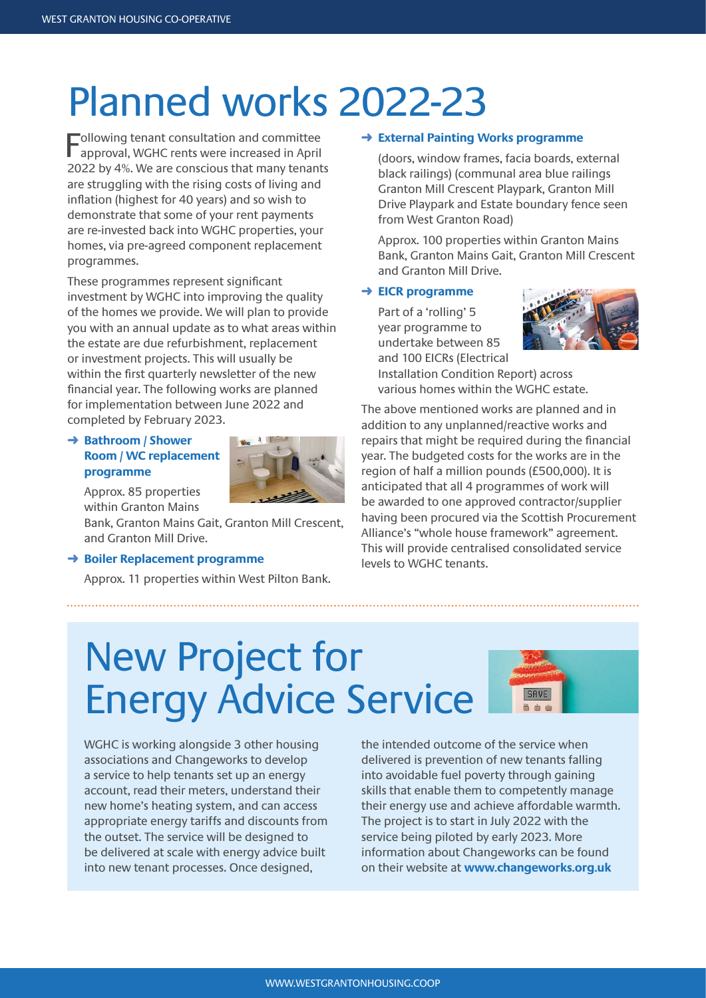# Planned works 2022-23

Following tenant consultation and committee approval, WGHC rents were increased in April 2022 by 4%. We are conscious that many tenants are struggling with the rising costs of living and inflation (highest for 40 years) and so wish to demonstrate that some of your rent payments are re-invested back into WGHC properties, your homes, via pre-agreed component replacement programmes.

These programmes represent significant investment by WGHC into improving the quality of the homes we provide. We will plan to provide you with an annual update as to what areas within the estate are due refurbishment, replacement or investment projects. This will usually be within the first quarterly newsletter of the new financial year. The following works are planned for implementation between June 2022 and completed by February 2023.

#### ➜ **Bathroom / Shower Room / WC replacement programme**

Approx. 85 properties within Granton Mains

Bank, Granton Mains Gait, Granton Mill Crescent, and Granton Mill Drive.

➜ **Boiler Replacement programme**

Approx. 11 properties within West Pilton Bank.

#### ➜ **External Painting Works programme**

(doors, window frames, facia boards, external black railings) (communal area blue railings Granton Mill Crescent Playpark, Granton Mill Drive Playpark and Estate boundary fence seen from West Granton Road)

Approx. 100 properties within Granton Mains Bank, Granton Mains Gait, Granton Mill Crescent and Granton Mill Drive.

#### ➜ **EICR programme**

Part of a 'rolling' 5 year programme to undertake between 85 and 100 EICRs (Electrical



Installation Condition Report) across various homes within the WGHC estate.

The above mentioned works are planned and in addition to any unplanned/reactive works and repairs that might be required during the financial year. The budgeted costs for the works are in the region of half a million pounds (£500,000). It is anticipated that all 4 programmes of work will be awarded to one approved contractor/supplier having been procured via the Scottish Procurement Alliance's "whole house framework" agreement. This will provide centralised consolidated service levels to WGHC tenants.

# New Project for Energy Advice Service



WGHC is working alongside 3 other housing associations and Changeworks to develop a service to help tenants set up an energy account, read their meters, understand their new home's heating system, and can access appropriate energy tariffs and discounts from the outset. The service will be designed to be delivered at scale with energy advice built into new tenant processes. Once designed,

the intended outcome of the service when delivered is prevention of new tenants falling into avoidable fuel poverty through gaining skills that enable them to competently manage their energy use and achieve affordable warmth. The project is to start in July 2022 with the service being piloted by early 2023. More information about Changeworks can be found on their website at **[www.changeworks.org.uk](http://www.changeworks.org.uk)**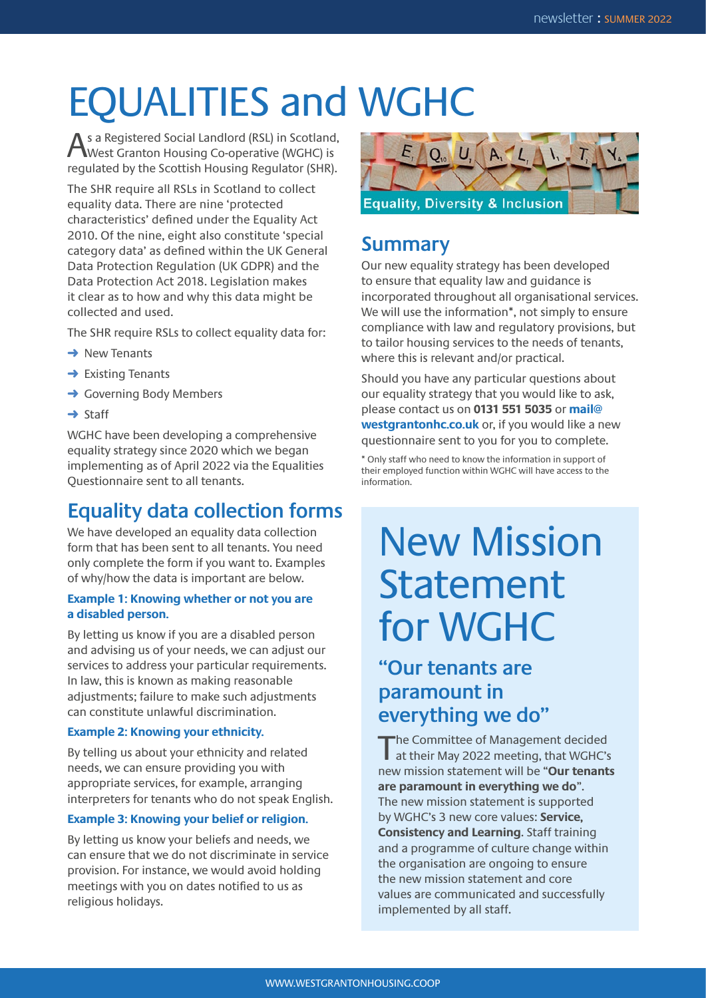# EQUALITIES and WGHC

As a Registered Social Landlord (RSL) in Scotland, West Granton Housing Co-operative (WGHC) is regulated by the Scottish Housing Regulator (SHR).

The SHR require all RSLs in Scotland to collect equality data. There are nine 'protected characteristics' defined under the Equality Act 2010. Of the nine, eight also constitute 'special category data' as defined within the UK General Data Protection Regulation (UK GDPR) and the Data Protection Act 2018. Legislation makes it clear as to how and why this data might be collected and used.

The SHR require RSLs to collect equality data for:

- $\rightarrow$  New Tenants
- $\rightarrow$  Existing Tenants
- **→ Governing Body Members**
- **→** Staff

WGHC have been developing a comprehensive equality strategy since 2020 which we began implementing as of April 2022 via the Equalities Questionnaire sent to all tenants.

## **Equality data collection forms**

We have developed an equality data collection form that has been sent to all tenants. You need only complete the form if you want to. Examples of why/how the data is important are below.

#### **Example 1: Knowing whether or not you are a disabled person.**

By letting us know if you are a disabled person and advising us of your needs, we can adjust our services to address your particular requirements. In law, this is known as making reasonable adjustments; failure to make such adjustments can constitute unlawful discrimination.

#### **Example 2: Knowing your ethnicity.**

By telling us about your ethnicity and related needs, we can ensure providing you with appropriate services, for example, arranging interpreters for tenants who do not speak English.

#### **Example 3: Knowing your belief or religion.**

By letting us know your beliefs and needs, we can ensure that we do not discriminate in service provision. For instance, we would avoid holding meetings with you on dates notified to us as religious holidays.



### **Summary**

Our new equality strategy has been developed to ensure that equality law and guidance is incorporated throughout all organisational services. We will use the information\*, not simply to ensure compliance with law and regulatory provisions, but to tailor housing services to the needs of tenants, where this is relevant and/or practical.

Should you have any particular questions about our equality strategy that you would like to ask, please contact us on **0131 551 5035** or **[mail@](mailto:mail@westgrantonhc.co.uk) [westgrantonhc.co.uk](mailto:mail@westgrantonhc.co.uk)** or, if you would like a new questionnaire sent to you for you to complete.

\* Only staff who need to know the information in support of their employed function within WGHC will have access to the information.

# New Mission Statement for WGHC

### **"Our tenants are paramount in everything we do"**

The Committee of Management decided at their May 2022 meeting, that WGHC's new mission statement will be "**Our tenants are paramount in everything we do**". The new mission statement is supported by WGHC's 3 new core values: **Service, Consistency and Learning**. Staff training and a programme of culture change within the organisation are ongoing to ensure the new mission statement and core values are communicated and successfully implemented by all staff.